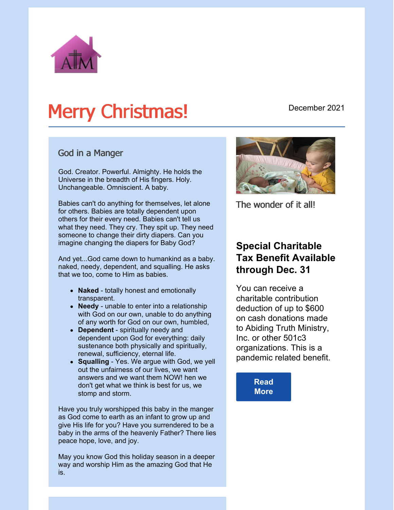

# Merry Christmas!

#### December 2021

#### God in a Manger

God. Creator. Powerful. Almighty. He holds the Universe in the breadth of His fingers. Holy. Unchangeable. Omniscient. A baby.

Babies can't do anything for themselves, let alone for others. Babies are totally dependent upon others for their every need. Babies can't tell us what they need. They cry. They spit up. They need someone to change their dirty diapers. Can you imagine changing the diapers for Baby God?

And yet...God came down to humankind as a baby. naked, needy, dependent, and squalling. He asks that we too, come to Him as babies.

- **Naked** totally honest and emotionally transparent.
- **Needy** unable to enter into a relationship with God on our own, unable to do anything of any worth for God on our own, humbled,
- **Dependent** spiritually needy and dependent upon God for everything: daily sustenance both physically and spiritually, renewal, sufficiency, eternal life.
- **Squalling** Yes. We argue with God, we yell out the unfairness of our lives, we want answers and we want them NOW! hen we don't get what we think is best for us, we stomp and storm.

Have you truly worshipped this baby in the manger as God come to earth as an infant to grow up and give His life for you? Have you surrendered to be a baby in the arms of the heavenly Father? There lies peace hope, love, and joy.

May you know God this holiday season in a deeper way and worship Him as the amazing God that He is.



The wonder of it all!

### **Special Charitable Tax Benefit Available through Dec. 31**

You can receive a charitable contribution deduction of up to \$600 on cash donations made to Abiding Truth Ministry, Inc. or other 501c3 organizations. This is a pandemic related benefit.

> **[Read](https://capincrouse.com/remind-donors-special-charitable-tax-benefit-available-december-31/) More**